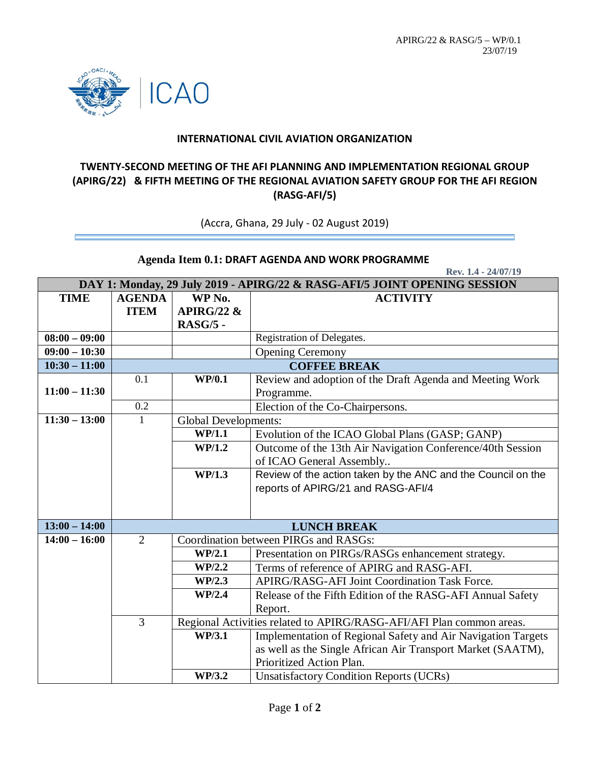

## **INTERNATIONAL CIVIL AVIATION ORGANIZATION**

## **TWENTY-SECOND MEETING OF THE AFI PLANNING AND IMPLEMENTATION REGIONAL GROUP (APIRG/22) & FIFTH MEETING OF THE REGIONAL AVIATION SAFETY GROUP FOR THE AFI REGION (RASG-AFI/5)**

(Accra, Ghana, 29 July - 02 August 2019)

## **Agenda Item 0.1: DRAFT AGENDA AND WORK PROGRAMME**

 **Rev. 1.4 - 24/07/19**

| DAY 1: Monday, 29 July 2019 - APIRG/22 & RASG-AFI/5 JOINT OPENING SESSION |                     |                                                                      |                                                              |  |
|---------------------------------------------------------------------------|---------------------|----------------------------------------------------------------------|--------------------------------------------------------------|--|
| <b>TIME</b>                                                               | <b>AGENDA</b>       | WP No.                                                               | <b>ACTIVITY</b>                                              |  |
|                                                                           | <b>ITEM</b>         | APIRG/22 $&$                                                         |                                                              |  |
|                                                                           |                     | <b>RASG/5 -</b>                                                      |                                                              |  |
| $08:00 - 09:00$                                                           |                     |                                                                      | Registration of Delegates.                                   |  |
| $09:00 - 10:30$                                                           |                     |                                                                      | <b>Opening Ceremony</b>                                      |  |
| $10:30 - 11:00$                                                           | <b>COFFEE BREAK</b> |                                                                      |                                                              |  |
|                                                                           | 0.1                 | <b>WP/0.1</b>                                                        | Review and adoption of the Draft Agenda and Meeting Work     |  |
| $11:00 - 11:30$                                                           |                     |                                                                      | Programme.                                                   |  |
|                                                                           | 0.2                 |                                                                      | Election of the Co-Chairpersons.                             |  |
| $11:30 - 13:00$                                                           | 1                   | Global Developments:                                                 |                                                              |  |
|                                                                           |                     | WP/1.1                                                               | Evolution of the ICAO Global Plans (GASP; GANP)              |  |
|                                                                           |                     | WP/1.2                                                               | Outcome of the 13th Air Navigation Conference/40th Session   |  |
|                                                                           |                     |                                                                      | of ICAO General Assembly                                     |  |
|                                                                           |                     | WP/1.3                                                               | Review of the action taken by the ANC and the Council on the |  |
|                                                                           |                     |                                                                      | reports of APIRG/21 and RASG-AFI/4                           |  |
|                                                                           |                     |                                                                      |                                                              |  |
|                                                                           |                     |                                                                      |                                                              |  |
| $13:00 - 14:00$                                                           |                     | <b>LUNCH BREAK</b>                                                   |                                                              |  |
| $14:00 - 16:00$                                                           | $\overline{2}$      | Coordination between PIRGs and RASGs:                                |                                                              |  |
|                                                                           |                     | WP/2.1                                                               | Presentation on PIRGs/RASGs enhancement strategy.            |  |
|                                                                           |                     | WP/2.2                                                               | Terms of reference of APIRG and RASG-AFI.                    |  |
|                                                                           |                     | WP/2.3                                                               | APIRG/RASG-AFI Joint Coordination Task Force.                |  |
|                                                                           |                     | WP/2.4                                                               | Release of the Fifth Edition of the RASG-AFI Annual Safety   |  |
|                                                                           |                     |                                                                      | Report.                                                      |  |
|                                                                           | 3                   | Regional Activities related to APIRG/RASG-AFI/AFI Plan common areas. |                                                              |  |
|                                                                           |                     | WP/3.1                                                               | Implementation of Regional Safety and Air Navigation Targets |  |
|                                                                           |                     |                                                                      | as well as the Single African Air Transport Market (SAATM),  |  |
|                                                                           |                     |                                                                      | Prioritized Action Plan.                                     |  |
|                                                                           |                     | WP/3.2                                                               | <b>Unsatisfactory Condition Reports (UCRs)</b>               |  |